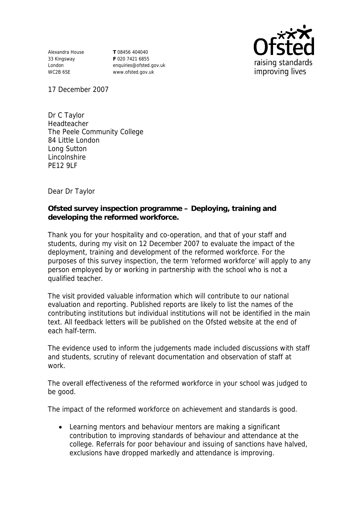Alexandra House 33 Kingsway London WC2B 6SE

**T** 08456 404040 **F** 020 7421 6855 enquiries@ofsted.gov.uk www.ofsted.gov.uk



17 December 2007

Dr C Taylor Headteacher The Peele Community College 84 Little London Long Sutton Lincolnshire PE12 9LF

Dear Dr Taylor

**Ofsted survey inspection programme – Deploying, training and developing the reformed workforce.**

Thank you for your hospitality and co-operation, and that of your staff and students, during my visit on 12 December 2007 to evaluate the impact of the deployment, training and development of the reformed workforce. For the purposes of this survey inspection, the term 'reformed workforce' will apply to any person employed by or working in partnership with the school who is not a qualified teacher.

The visit provided valuable information which will contribute to our national evaluation and reporting. Published reports are likely to list the names of the contributing institutions but individual institutions will not be identified in the main text. All feedback letters will be published on the Ofsted website at the end of each half-term.

The evidence used to inform the judgements made included discussions with staff and students, scrutiny of relevant documentation and observation of staff at work.

The overall effectiveness of the reformed workforce in your school was judged to be good.

The impact of the reformed workforce on achievement and standards is good.

 Learning mentors and behaviour mentors are making a significant contribution to improving standards of behaviour and attendance at the college. Referrals for poor behaviour and issuing of sanctions have halved, exclusions have dropped markedly and attendance is improving.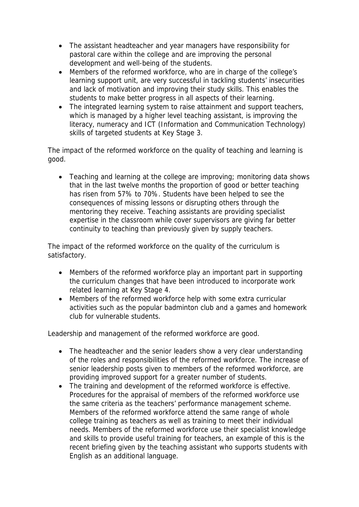- The assistant headteacher and year managers have responsibility for pastoral care within the college and are improving the personal development and well-being of the students.
- Members of the reformed workforce, who are in charge of the college's learning support unit, are very successful in tackling students' insecurities and lack of motivation and improving their study skills. This enables the students to make better progress in all aspects of their learning.
- The integrated learning system to raise attainment and support teachers, which is managed by a higher level teaching assistant, is improving the literacy, numeracy and ICT (Information and Communication Technology) skills of targeted students at Key Stage 3.

The impact of the reformed workforce on the quality of teaching and learning is good.

 Teaching and learning at the college are improving; monitoring data shows that in the last twelve months the proportion of good or better teaching has risen from 57% to 70%. Students have been helped to see the consequences of missing lessons or disrupting others through the mentoring they receive. Teaching assistants are providing specialist expertise in the classroom while cover supervisors are giving far better continuity to teaching than previously given by supply teachers.

The impact of the reformed workforce on the quality of the curriculum is satisfactory.

- Members of the reformed workforce play an important part in supporting the curriculum changes that have been introduced to incorporate work related learning at Key Stage 4.
- Members of the reformed workforce help with some extra curricular activities such as the popular badminton club and a games and homework club for vulnerable students.

Leadership and management of the reformed workforce are good.

- The headteacher and the senior leaders show a very clear understanding of the roles and responsibilities of the reformed workforce. The increase of senior leadership posts given to members of the reformed workforce, are providing improved support for a greater number of students.
- The training and development of the reformed workforce is effective. Procedures for the appraisal of members of the reformed workforce use the same criteria as the teachers' performance management scheme. Members of the reformed workforce attend the same range of whole college training as teachers as well as training to meet their individual needs. Members of the reformed workforce use their specialist knowledge and skills to provide useful training for teachers, an example of this is the recent briefing given by the teaching assistant who supports students with English as an additional language.